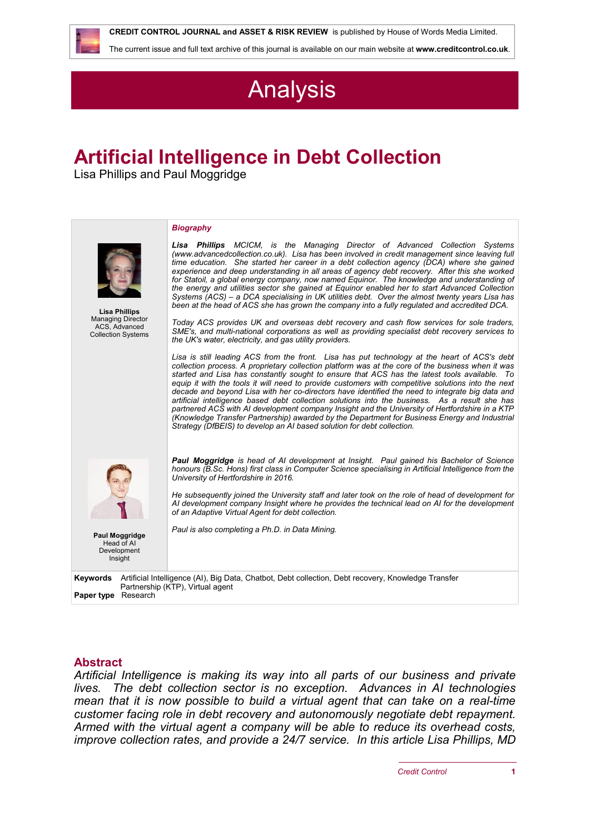

 **CREDIT CONTROL JOURNAL and ASSET & RISK REVIEW** is published by House of Words Media Limited.

The current issue and full text archive of this journal is available on our main website at **[www.creditcontrol.co.uk](http://www.creditcontrol.co.uk)**.

# **Analysis**

# **Artificial Intelligence in Debt Collection**

Lisa Phillips and Paul Moggridge

|                                                                                                                                                                                | <b>Biography</b>                                                                                                                                                                                                                                                                                                                                                                                                                                                                                                                                                                                                                                                                                                                                                                                                                                                                          |
|--------------------------------------------------------------------------------------------------------------------------------------------------------------------------------|-------------------------------------------------------------------------------------------------------------------------------------------------------------------------------------------------------------------------------------------------------------------------------------------------------------------------------------------------------------------------------------------------------------------------------------------------------------------------------------------------------------------------------------------------------------------------------------------------------------------------------------------------------------------------------------------------------------------------------------------------------------------------------------------------------------------------------------------------------------------------------------------|
| <b>Lisa Phillips</b><br><b>Managing Director</b><br>ACS, Advanced<br><b>Collection Systems</b>                                                                                 | <b>Lisa Phillips</b> MCICM, is the Managing Director of Advanced Collection Systems<br>(www.advancedcollection.co.uk). Lisa has been involved in credit management since leaving full<br>time education. She started her career in a debt collection agency (DCA) where she gained<br>experience and deep understanding in all areas of agency debt recovery. After this she worked<br>for Statoil, a global energy company, now named Equinor. The knowledge and understanding of<br>the energy and utilities sector she gained at Equinor enabled her to start Advanced Collection<br>Systems (ACS) - a DCA specialising in UK utilities debt. Over the almost twenty years Lisa has<br>been at the head of ACS she has grown the company into a fully regulated and accredited DCA.                                                                                                    |
|                                                                                                                                                                                | Today ACS provides UK and overseas debt recovery and cash flow services for sole traders,<br>SME's, and multi-national corporations as well as providing specialist debt recovery services to<br>the UK's water, electricity, and gas utility providers.                                                                                                                                                                                                                                                                                                                                                                                                                                                                                                                                                                                                                                  |
|                                                                                                                                                                                | Lisa is still leading ACS from the front. Lisa has put technology at the heart of ACS's debt<br>collection process. A proprietary collection platform was at the core of the business when it was<br>started and Lisa has constantly sought to ensure that ACS has the latest tools available. To<br>equip it with the tools it will need to provide customers with competitive solutions into the next<br>decade and beyond Lisa with her co-directors have identified the need to integrate big data and<br>artificial intelligence based debt collection solutions into the business. As a result she has<br>partnered ACS with AI development company Insight and the University of Hertfordshire in a KTP<br>(Knowledge Transfer Partnership) awarded by the Department for Business Energy and Industrial<br>Strategy (DfBEIS) to develop an AI based solution for debt collection. |
|                                                                                                                                                                                | <b>Paul Moggridge</b> is head of AI development at Insight. Paul gained his Bachelor of Science<br>honours (B.Sc. Hons) first class in Computer Science specialising in Artificial Intelligence from the<br>University of Hertfordshire in 2016.                                                                                                                                                                                                                                                                                                                                                                                                                                                                                                                                                                                                                                          |
|                                                                                                                                                                                | He subsequently joined the University staff and later took on the role of head of development for<br>AI development company Insight where he provides the technical lead on AI for the development<br>of an Adaptive Virtual Agent for debt collection.                                                                                                                                                                                                                                                                                                                                                                                                                                                                                                                                                                                                                                   |
| Paul Moggridge<br>Head of AI<br>Development<br>Insight                                                                                                                         | Paul is also completing a Ph.D. in Data Mining.                                                                                                                                                                                                                                                                                                                                                                                                                                                                                                                                                                                                                                                                                                                                                                                                                                           |
| <b>Keywords</b> Artificial Intelligence (AI), Big Data, Chatbot, Debt collection, Debt recovery, Knowledge Transfer<br>Partnership (KTP), Virtual agent<br>Paper type Research |                                                                                                                                                                                                                                                                                                                                                                                                                                                                                                                                                                                                                                                                                                                                                                                                                                                                                           |
|                                                                                                                                                                                |                                                                                                                                                                                                                                                                                                                                                                                                                                                                                                                                                                                                                                                                                                                                                                                                                                                                                           |

# **Abstract**

*Artificial Intelligence is making its way into all parts of our business and private lives. The debt collection sector is no exception. Advances in AI technologies mean that it is now possible to build a virtual agent that can take on a real-time customer facing role in debt recovery and autonomously negotiate debt repayment. Armed with the virtual agent a company will be able to reduce its overhead costs, improve collection rates, and provide a 24/7 service. In this article Lisa Phillips, MD*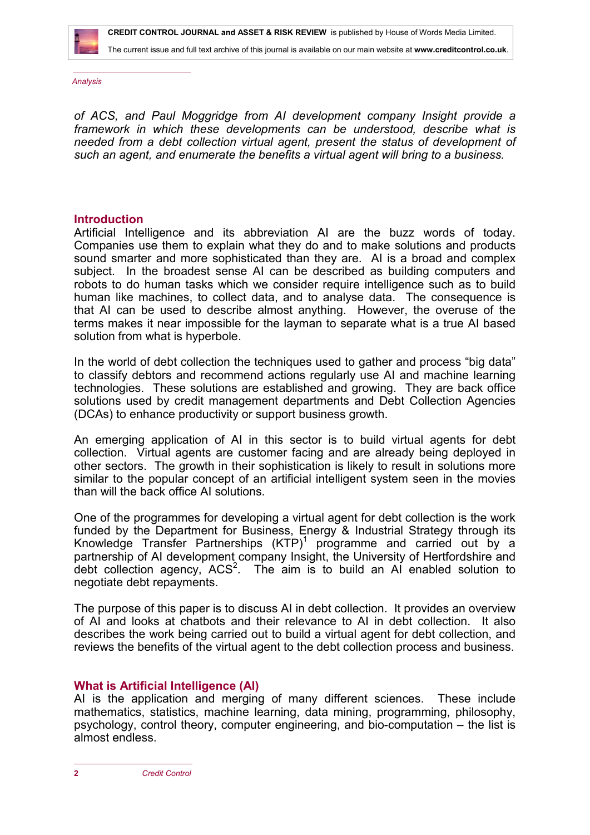The current issue and full text archive of this journal is available on our main website at **[www.creditcontrol.co.uk](http://www.creditcontrol.co.uk)**.

*Analysis*

*of ACS, and Paul Moggridge from AI development company Insight provide a framework in which these developments can be understood, describe what is needed from a debt collection virtual agent, present the status of development of such an agent, and enumerate the benefits a virtual agent will bring to a business.*

#### **Introduction**

Artificial Intelligence and its abbreviation AI are the buzz words of today. Companies use them to explain what they do and to make solutions and products sound smarter and more sophisticated than they are. AI is a broad and complex subject. In the broadest sense AI can be described as building computers and robots to do human tasks which we consider require intelligence such as to build human like machines, to collect data, and to analyse data. The consequence is that AI can be used to describe almost anything. However, the overuse of the terms makes it near impossible for the layman to separate what is a true AI based solution from what is hyperbole.

In the world of debt collection the techniques used to gather and process "big data" to classify debtors and recommend actions regularly use AI and machine learning technologies. These solutions are established and growing. They are back office solutions used by credit management departments and Debt Collection Agencies (DCAs) to enhance productivity or support business growth.

An emerging application of AI in this sector is to build virtual agents for debt collection. Virtual agents are customer facing and are already being deployed in other sectors. The growth in their sophistication is likely to result in solutions more similar to the popular concept of an artificial intelligent system seen in the movies than will the back office AI solutions.

One of the programmes for developing a virtual agent for debt collection is the work funded by the Department for Business, Energy & Industrial Strategy through its Knowledge Transfer Partnerships  $(KTP)^1$  programme and carried out by a partnership of AI development company Insight, the University of Hertfordshire and debt collection agency,  $ACS<sup>2</sup>$ . The aim is to build an AI enabled solution to negotiate debt repayments.

The purpose of this paper is to discuss AI in debt collection. It provides an overview of AI and looks at chatbots and their relevance to AI in debt collection. It also describes the work being carried out to build a virtual agent for debt collection, and reviews the benefits of the virtual agent to the debt collection process and business.

#### **What is Artificial Intelligence (AI)**

AI is the application and merging of many different sciences. These include mathematics, statistics, machine learning, data mining, programming, philosophy, psychology, control theory, computer engineering, and bio-computation – the list is almost endless.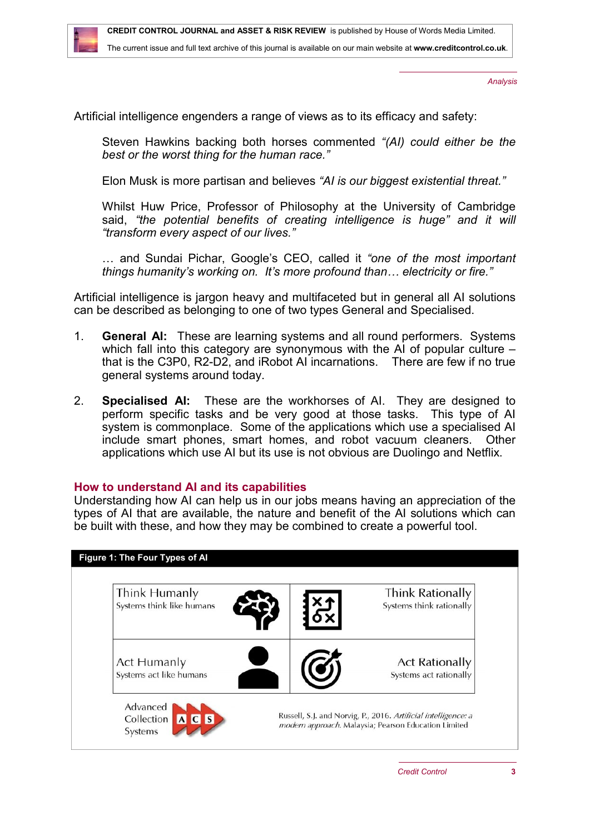

Artificial intelligence engenders a range of views as to its efficacy and safety:

Steven Hawkins backing both horses commented *"(AI) could either be the best or the worst thing for the human race."*

Elon Musk is more partisan and believes *"AI is our biggest existential threat."*

Whilst Huw Price, Professor of Philosophy at the University of Cambridge said, *"the potential benefits of creating intelligence is huge" and it will "transform every aspect of our lives."* 

… and Sundai Pichar, Google's CEO, called it *"one of the most important things humanity's working on. It's more profound than… electricity or fire."*

Artificial intelligence is jargon heavy and multifaceted but in general all AI solutions can be described as belonging to one of two types General and Specialised.

- 1. **General AI:** These are learning systems and all round performers. Systems which fall into this category are synonymous with the AI of popular culture – that is the C3P0, R2-D2, and iRobot AI incarnations. There are few if no true general systems around today.
- 2. **Specialised AI:** These are the workhorses of AI. They are designed to perform specific tasks and be very good at those tasks. This type of AI system is commonplace. Some of the applications which use a specialised AI include smart phones, smart homes, and robot vacuum cleaners. Other applications which use AI but its use is not obvious are Duolingo and Netflix.

#### **How to understand AI and its capabilities**

Understanding how AI can help us in our jobs means having an appreciation of the types of AI that are available, the nature and benefit of the AI solutions which can be built with these, and how they may be combined to create a powerful tool.

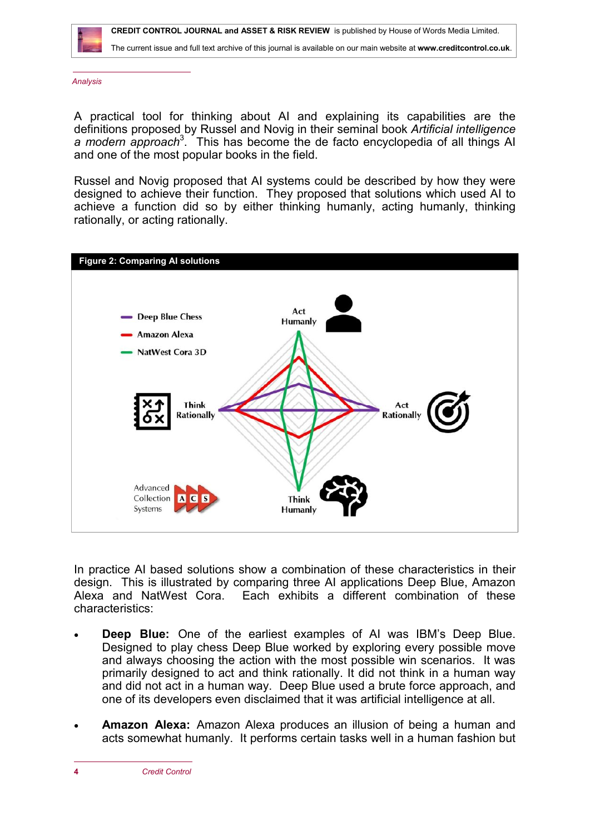

 **CREDIT CONTROL JOURNAL and ASSET & RISK REVIEW** is published by House of Words Media Limited.

The current issue and full text archive of this journal is available on our main website at **[www.creditcontrol.co.uk](http://www.creditcontrol.co.uk)**.

*Analysis*

A practical tool for thinking about AI and explaining its capabilities are the definitions proposed by Russel and Novig in their seminal book *Artificial intelligence*  a modern approach<sup>3</sup>. This has become the de facto encyclopedia of all things AI and one of the most popular books in the field.

Russel and Novig proposed that AI systems could be described by how they were designed to achieve their function. They proposed that solutions which used AI to achieve a function did so by either thinking humanly, acting humanly, thinking rationally, or acting rationally.



In practice AI based solutions show a combination of these characteristics in their design. This is illustrated by comparing three AI applications Deep Blue, Amazon Alexa and NatWest Cora. Each exhibits a different combination of these characteristics:

- **Deep Blue:** One of the earliest examples of AI was IBM's Deep Blue. Designed to play chess Deep Blue worked by exploring every possible move and always choosing the action with the most possible win scenarios. It was primarily designed to act and think rationally. It did not think in a human way and did not act in a human way. Deep Blue used a brute force approach, and one of its developers even disclaimed that it was artificial intelligence at all.
- **Amazon Alexa:** Amazon Alexa produces an illusion of being a human and acts somewhat humanly. It performs certain tasks well in a human fashion but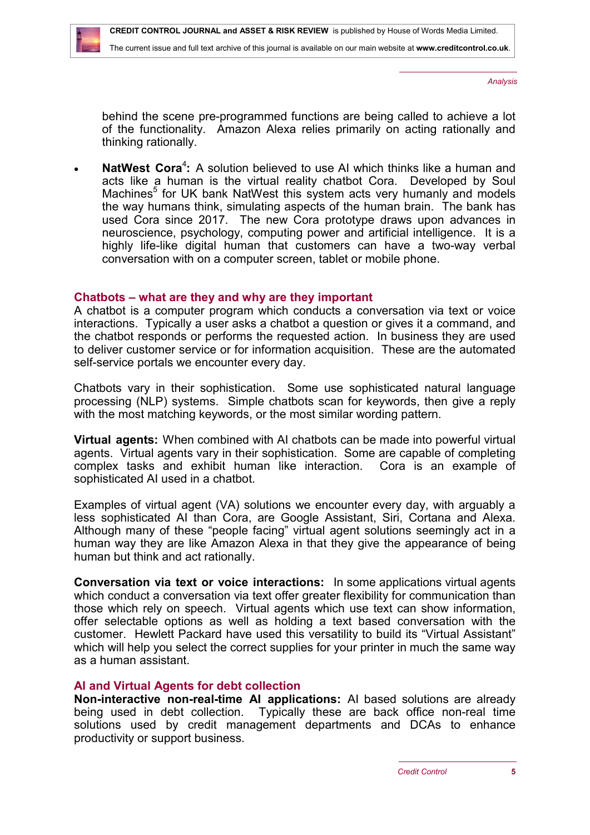behind the scene pre-programmed functions are being called to achieve a lot of the functionality. Amazon Alexa relies primarily on acting rationally and thinking rationally.

• NatWest Cora<sup>4</sup>: A solution believed to use AI which thinks like a human and acts like a human is the virtual reality chatbot Cora. Developed by Soul Machines<sup>5</sup> for UK bank NatWest this system acts very humanly and models the way humans think, simulating aspects of the human brain. The bank has used Cora since 2017. The new Cora prototype draws upon advances in neuroscience, psychology, computing power and artificial intelligence. It is a highly life-like digital human that customers can have a two-way verbal conversation with on a computer screen, tablet or mobile phone.

# **Chatbots – what are they and why are they important**

A chatbot is a computer program which conducts a conversation via text or voice interactions. Typically a user asks a chatbot a question or gives it a command, and the chatbot responds or performs the requested action. In business they are used to deliver customer service or for information acquisition. These are the automated self-service portals we encounter every day.

Chatbots vary in their sophistication. Some use sophisticated natural language processing (NLP) systems. Simple chatbots scan for keywords, then give a reply with the most matching keywords, or the most similar wording pattern.

**Virtual agents:** When combined with AI chatbots can be made into powerful virtual agents. Virtual agents vary in their sophistication. Some are capable of completing complex tasks and exhibit human like interaction. Cora is an example of sophisticated AI used in a chatbot.

Examples of virtual agent (VA) solutions we encounter every day, with arguably a less sophisticated AI than Cora, are Google Assistant, Siri, Cortana and Alexa. Although many of these "people facing" virtual agent solutions seemingly act in a human way they are like Amazon Alexa in that they give the appearance of being human but think and act rationally.

**Conversation via text or voice interactions:** In some applications virtual agents which conduct a conversation via text offer greater flexibility for communication than those which rely on speech. Virtual agents which use text can show information, offer selectable options as well as holding a text based conversation with the customer. Hewlett Packard have used this versatility to build its "Virtual Assistant" which will help you select the correct supplies for your printer in much the same way as a human assistant.

# **AI and Virtual Agents for debt collection**

**Non-interactive non-real-time AI applications:** AI based solutions are already being used in debt collection. Typically these are back office non-real time solutions used by credit management departments and DCAs to enhance productivity or support business.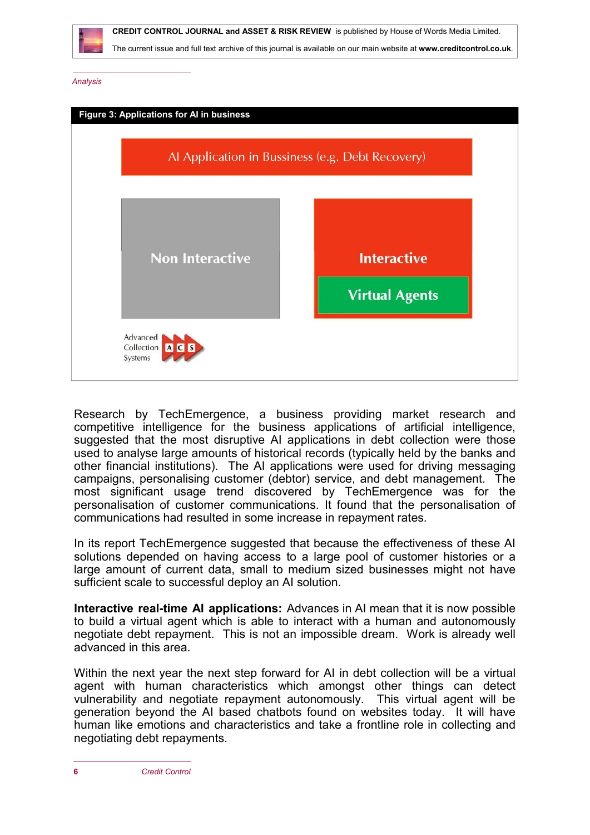



Research by TechEmergence, a business providing market research and competitive intelligence for the business applications of artificial intelligence, suggested that the most disruptive AI applications in debt collection were those used to analyse large amounts of historical records (typically held by the banks and other financial institutions). The AI applications were used for driving messaging campaigns, personalising customer (debtor) service, and debt management. The most significant usage trend discovered by TechEmergence was for the personalisation of customer communications. It found that the personalisation of communications had resulted in some increase in repayment rates.

In its report TechEmergence suggested that because the effectiveness of these AI solutions depended on having access to a large pool of customer histories or a large amount of current data, small to medium sized businesses might not have sufficient scale to successful deploy an AI solution.

**Interactive real-time AI applications:** Advances in AI mean that it is now possible to build a virtual agent which is able to interact with a human and autonomously negotiate debt repayment. This is not an impossible dream. Work is already well advanced in this area.

Within the next year the next step forward for AI in debt collection will be a virtual agent with human characteristics which amongst other things can detect vulnerability and negotiate repayment autonomously. This virtual agent will be generation beyond the AI based chatbots found on websites today. It will have human like emotions and characteristics and take a frontline role in collecting and negotiating debt repayments.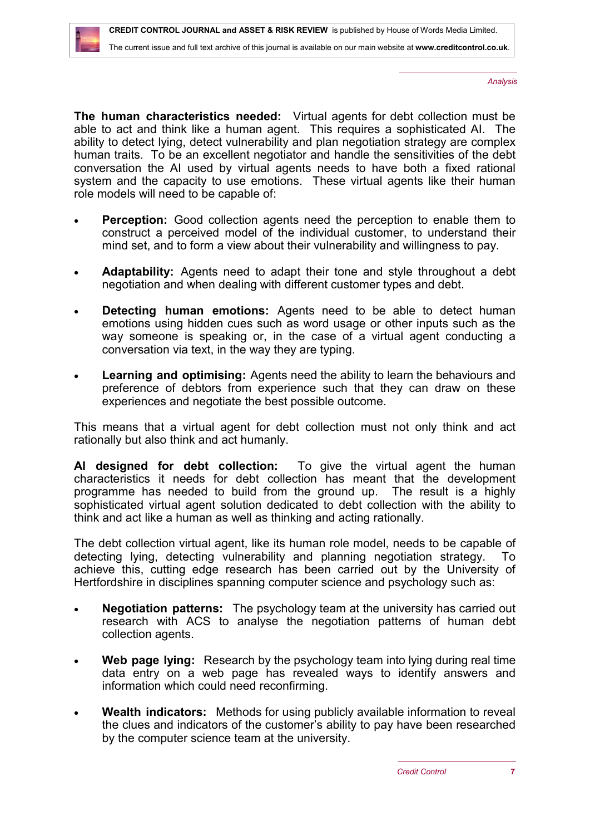**The human characteristics needed:** Virtual agents for debt collection must be able to act and think like a human agent. This requires a sophisticated AI. The ability to detect lying, detect vulnerability and plan negotiation strategy are complex human traits. To be an excellent negotiator and handle the sensitivities of the debt conversation the AI used by virtual agents needs to have both a fixed rational system and the capacity to use emotions. These virtual agents like their human role models will need to be capable of:

- **Perception:** Good collection agents need the perception to enable them to construct a perceived model of the individual customer, to understand their mind set, and to form a view about their vulnerability and willingness to pay.
- **Adaptability:** Agents need to adapt their tone and style throughout a debt negotiation and when dealing with different customer types and debt.
- **Detecting human emotions:** Agents need to be able to detect human emotions using hidden cues such as word usage or other inputs such as the way someone is speaking or, in the case of a virtual agent conducting a conversation via text, in the way they are typing.
- **Learning and optimising:** Agents need the ability to learn the behaviours and preference of debtors from experience such that they can draw on these experiences and negotiate the best possible outcome.

This means that a virtual agent for debt collection must not only think and act rationally but also think and act humanly.

**AI designed for debt collection:** To give the virtual agent the human characteristics it needs for debt collection has meant that the development programme has needed to build from the ground up. The result is a highly sophisticated virtual agent solution dedicated to debt collection with the ability to think and act like a human as well as thinking and acting rationally.

The debt collection virtual agent, like its human role model, needs to be capable of detecting lying, detecting vulnerability and planning negotiation strategy. To achieve this, cutting edge research has been carried out by the University of Hertfordshire in disciplines spanning computer science and psychology such as:

- **Negotiation patterns:** The psychology team at the university has carried out research with ACS to analyse the negotiation patterns of human debt collection agents.
- **Web page lying:** Research by the psychology team into lying during real time data entry on a web page has revealed ways to identify answers and information which could need reconfirming.
- **Wealth indicators:** Methods for using publicly available information to reveal the clues and indicators of the customer's ability to pay have been researched by the computer science team at the university.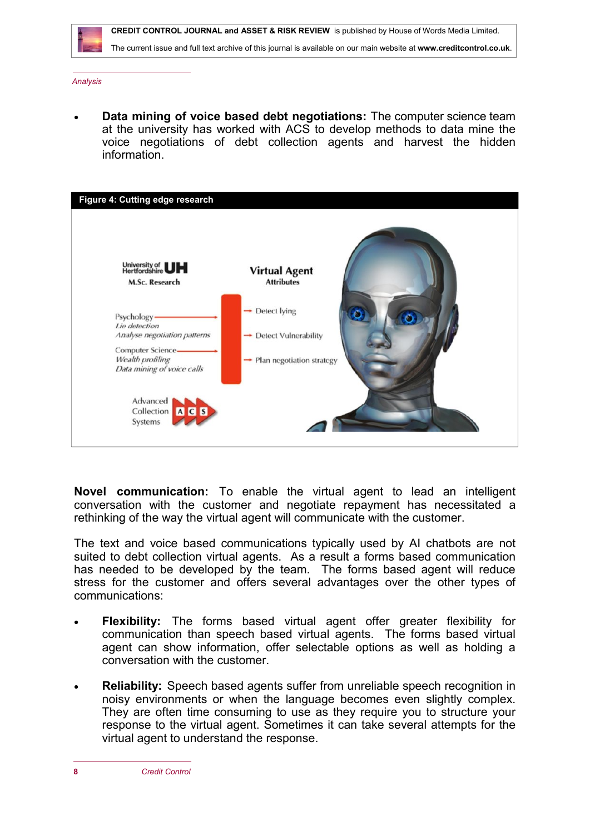

 **CREDIT CONTROL JOURNAL and ASSET & RISK REVIEW** is published by House of Words Media Limited.

The current issue and full text archive of this journal is available on our main website at **[www.creditcontrol.co.uk](http://www.creditcontrol.co.uk)**.

*Analysis*

 **Data mining of voice based debt negotiations:** The computer science team at the university has worked with ACS to develop methods to data mine the voice negotiations of debt collection agents and harvest the hidden information.



**Novel communication:** To enable the virtual agent to lead an intelligent conversation with the customer and negotiate repayment has necessitated a rethinking of the way the virtual agent will communicate with the customer.

The text and voice based communications typically used by AI chatbots are not suited to debt collection virtual agents. As a result a forms based communication has needed to be developed by the team. The forms based agent will reduce stress for the customer and offers several advantages over the other types of communications:

- **Flexibility:** The forms based virtual agent offer greater flexibility for communication than speech based virtual agents. The forms based virtual agent can show information, offer selectable options as well as holding a conversation with the customer.
- **Reliability:** Speech based agents suffer from unreliable speech recognition in noisy environments or when the language becomes even slightly complex. They are often time consuming to use as they require you to structure your response to the virtual agent. Sometimes it can take several attempts for the virtual agent to understand the response.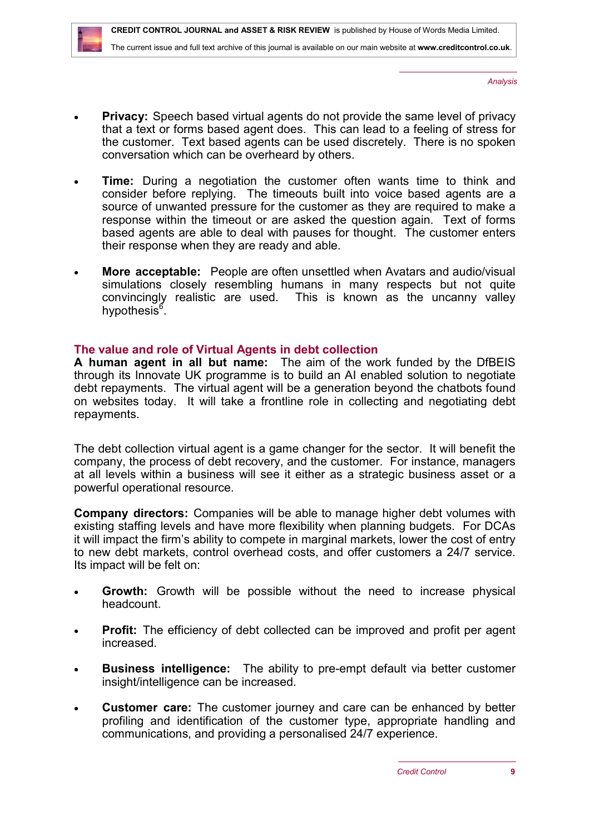- **Privacy:** Speech based virtual agents do not provide the same level of privacy that a text or forms based agent does. This can lead to a feeling of stress for the customer. Text based agents can be used discretely. There is no spoken conversation which can be overheard by others.
- **Time:** During a negotiation the customer often wants time to think and consider before replying. The timeouts built into voice based agents are a source of unwanted pressure for the customer as they are required to make a response within the timeout or are asked the question again. Text of forms based agents are able to deal with pauses for thought. The customer enters their response when they are ready and able.
- **More acceptable:** People are often unsettled when Avatars and audio/visual simulations closely resembling humans in many respects but not quite convincingly realistic are used. This is known as the uncanny valley hypothesis<sup>6</sup>.

# **The value and role of Virtual Agents in debt collection**

**A human agent in all but name:** The aim of the work funded by the DfBEIS through its Innovate UK programme is to build an AI enabled solution to negotiate debt repayments. The virtual agent will be a generation beyond the chatbots found on websites today. It will take a frontline role in collecting and negotiating debt repayments.

The debt collection virtual agent is a game changer for the sector. It will benefit the company, the process of debt recovery, and the customer. For instance, managers at all levels within a business will see it either as a strategic business asset or a powerful operational resource.

**Company directors:** Companies will be able to manage higher debt volumes with existing staffing levels and have more flexibility when planning budgets. For DCAs it will impact the firm's ability to compete in marginal markets, lower the cost of entry to new debt markets, control overhead costs, and offer customers a 24/7 service. Its impact will be felt on:

- **Growth:** Growth will be possible without the need to increase physical headcount.
- **Profit:** The efficiency of debt collected can be improved and profit per agent increased.
- **Business intelligence:** The ability to pre-empt default via better customer insight/intelligence can be increased.
- **Customer care:** The customer journey and care can be enhanced by better profiling and identification of the customer type, appropriate handling and communications, and providing a personalised 24/7 experience.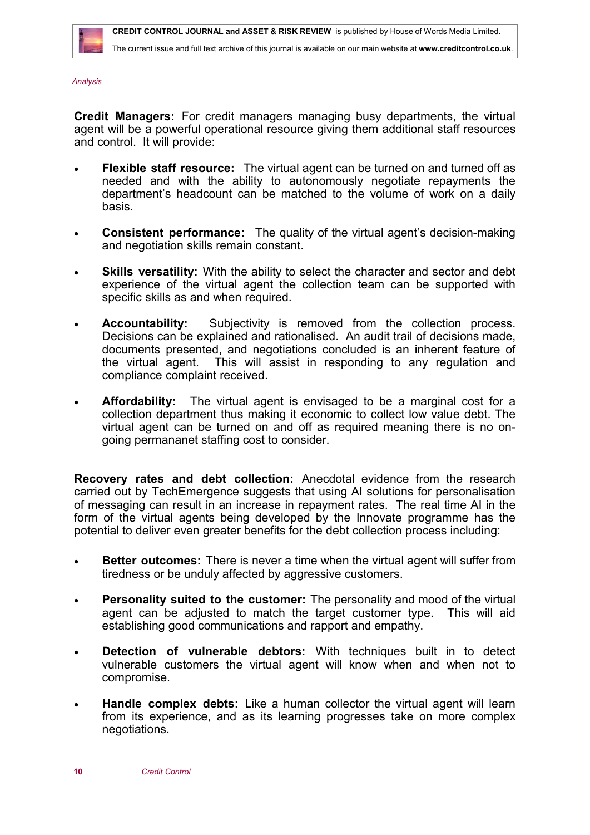

**Credit Managers:** For credit managers managing busy departments, the virtual agent will be a powerful operational resource giving them additional staff resources and control. It will provide:

- **Flexible staff resource:** The virtual agent can be turned on and turned off as needed and with the ability to autonomously negotiate repayments the department's headcount can be matched to the volume of work on a daily basis.
- **Consistent performance:** The quality of the virtual agent's decision-making and negotiation skills remain constant.
- **Skills versatility:** With the ability to select the character and sector and debt experience of the virtual agent the collection team can be supported with specific skills as and when required.
- **Accountability:** Subjectivity is removed from the collection process. Decisions can be explained and rationalised. An audit trail of decisions made, documents presented, and negotiations concluded is an inherent feature of the virtual agent. This will assist in responding to any regulation and compliance complaint received.
- **Affordability:** The virtual agent is envisaged to be a marginal cost for a collection department thus making it economic to collect low value debt. The virtual agent can be turned on and off as required meaning there is no ongoing permananet staffing cost to consider.

**Recovery rates and debt collection:** Anecdotal evidence from the research carried out by TechEmergence suggests that using AI solutions for personalisation of messaging can result in an increase in repayment rates. The real time AI in the form of the virtual agents being developed by the Innovate programme has the potential to deliver even greater benefits for the debt collection process including:

- **Better outcomes:** There is never a time when the virtual agent will suffer from tiredness or be unduly affected by aggressive customers.
- **Personality suited to the customer:** The personality and mood of the virtual agent can be adjusted to match the target customer type. This will aid establishing good communications and rapport and empathy.
- **Detection of vulnerable debtors:** With techniques built in to detect vulnerable customers the virtual agent will know when and when not to compromise.
- **Handle complex debts:** Like a human collector the virtual agent will learn from its experience, and as its learning progresses take on more complex negotiations.